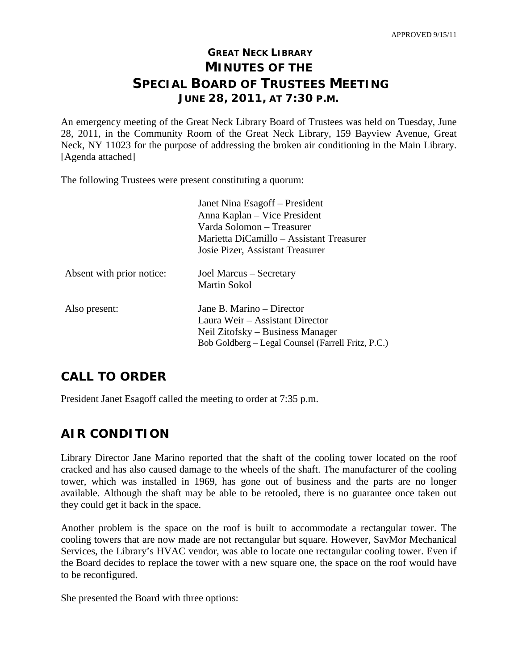# **GREAT NECK LIBRARY MINUTES OF THE SPECIAL BOARD OF TRUSTEES MEETING JUNE 28, 2011, AT 7:30 P.M.**

An emergency meeting of the Great Neck Library Board of Trustees was held on Tuesday, June 28, 2011, in the Community Room of the Great Neck Library, 159 Bayview Avenue, Great Neck, NY 11023 for the purpose of addressing the broken air conditioning in the Main Library. [Agenda attached]

The following Trustees were present constituting a quorum:

|                           | Janet Nina Esagoff – President<br>Anna Kaplan – Vice President<br>Varda Solomon – Treasurer<br>Marietta DiCamillo – Assistant Treasurer<br>Josie Pizer, Assistant Treasurer |
|---------------------------|-----------------------------------------------------------------------------------------------------------------------------------------------------------------------------|
| Absent with prior notice: | Joel Marcus – Secretary<br>Martin Sokol                                                                                                                                     |
| Also present:             | Jane B. Marino – Director<br>Laura Weir - Assistant Director<br>Neil Zitofsky – Business Manager<br>Bob Goldberg – Legal Counsel (Farrell Fritz, P.C.)                      |

## **CALL TO ORDER**

President Janet Esagoff called the meeting to order at 7:35 p.m.

# **AIR CONDITION**

Library Director Jane Marino reported that the shaft of the cooling tower located on the roof cracked and has also caused damage to the wheels of the shaft. The manufacturer of the cooling tower, which was installed in 1969, has gone out of business and the parts are no longer available. Although the shaft may be able to be retooled, there is no guarantee once taken out they could get it back in the space.

Another problem is the space on the roof is built to accommodate a rectangular tower. The cooling towers that are now made are not rectangular but square. However, SavMor Mechanical Services, the Library's HVAC vendor, was able to locate one rectangular cooling tower. Even if the Board decides to replace the tower with a new square one, the space on the roof would have to be reconfigured.

She presented the Board with three options: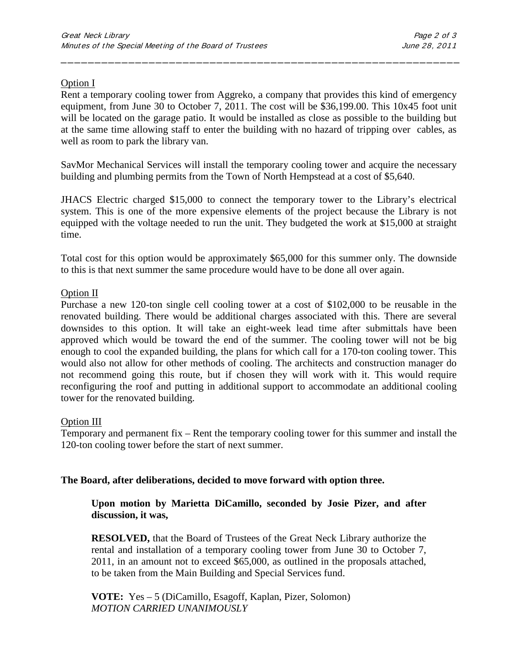### Option I

Rent a temporary cooling tower from Aggreko, a company that provides this kind of emergency equipment, from June 30 to October 7, 2011. The cost will be \$36,199.00. This 10x45 foot unit will be located on the garage patio. It would be installed as close as possible to the building but at the same time allowing staff to enter the building with no hazard of tripping over cables, as well as room to park the library van.

\_\_\_\_\_\_\_\_\_\_\_\_\_\_\_\_\_\_\_\_\_\_\_\_\_\_\_\_\_\_\_\_\_\_\_\_\_\_\_\_\_\_\_\_\_\_\_\_\_\_\_\_\_\_\_\_\_\_\_

SavMor Mechanical Services will install the temporary cooling tower and acquire the necessary building and plumbing permits from the Town of North Hempstead at a cost of \$5,640.

JHACS Electric charged \$15,000 to connect the temporary tower to the Library's electrical system. This is one of the more expensive elements of the project because the Library is not equipped with the voltage needed to run the unit. They budgeted the work at \$15,000 at straight time.

Total cost for this option would be approximately \$65,000 for this summer only. The downside to this is that next summer the same procedure would have to be done all over again.

#### Option II

Purchase a new 120-ton single cell cooling tower at a cost of \$102,000 to be reusable in the renovated building. There would be additional charges associated with this. There are several downsides to this option. It will take an eight-week lead time after submittals have been approved which would be toward the end of the summer. The cooling tower will not be big enough to cool the expanded building, the plans for which call for a 170-ton cooling tower. This would also not allow for other methods of cooling. The architects and construction manager do not recommend going this route, but if chosen they will work with it. This would require reconfiguring the roof and putting in additional support to accommodate an additional cooling tower for the renovated building.

#### Option III

Temporary and permanent fix – Rent the temporary cooling tower for this summer and install the 120-ton cooling tower before the start of next summer.

#### **The Board, after deliberations, decided to move forward with option three.**

**Upon motion by Marietta DiCamillo, seconded by Josie Pizer, and after discussion, it was,**

**RESOLVED,** that the Board of Trustees of the Great Neck Library authorize the rental and installation of a temporary cooling tower from June 30 to October 7, 2011, in an amount not to exceed \$65,000, as outlined in the proposals attached, to be taken from the Main Building and Special Services fund.

**VOTE:** Yes – 5 (DiCamillo, Esagoff, Kaplan, Pizer, Solomon) *MOTION CARRIED UNANIMOUSLY*